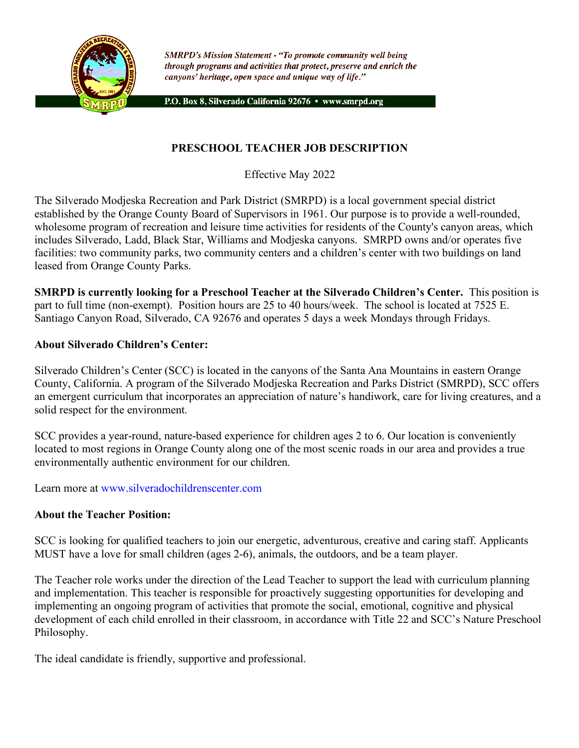

**SMRPD's Mission Statement - "To promote community well being** through programs and activities that protect, preserve and enrich the canyons' heritage, open space and unique way of life."

P.O. Box 8, Silverado California 92676 · www.smrpd.org

## **PRESCHOOL TEACHER JOB DESCRIPTION**

Effective May 2022

The Silverado Modjeska Recreation and Park District (SMRPD) is a local government special district established by the Orange County Board of Supervisors in 1961. Our purpose is to provide a well-rounded, wholesome program of recreation and leisure time activities for residents of the County's canyon areas, which includes Silverado, Ladd, Black Star, Williams and Modjeska canyons. SMRPD owns and/or operates five facilities: two community parks, two community centers and a children's center with two buildings on land leased from Orange County Parks.

**SMRPD is currently looking for a Preschool Teacher at the Silverado Children's Center.** This position is part to full time (non-exempt). Position hours are 25 to 40 hours/week. The school is located at 7525 E. Santiago Canyon Road, Silverado, CA 92676 and operates 5 days a week Mondays through Fridays.

#### **About Silverado Children's Center:**

Silverado Children's Center (SCC) is located in the canyons of the Santa Ana Mountains in eastern Orange County, California. A program of the Silverado Modjeska Recreation and Parks District (SMRPD), SCC offers an emergent curriculum that incorporates an appreciation of nature's handiwork, care for living creatures, and a solid respect for the environment.

SCC provides a year-round, nature-based experience for children ages 2 to 6. Our location is conveniently located to most regions in Orange County along one of the most scenic roads in our area and provides a true environmentally authentic environment for our children.

Learn more at www.silveradochildrenscenter.com

#### **About the Teacher Position:**

SCC is looking for qualified teachers to join our energetic, adventurous, creative and caring staff. Applicants MUST have a love for small children (ages 2-6), animals, the outdoors, and be a team player.

The Teacher role works under the direction of the Lead Teacher to support the lead with curriculum planning and implementation. This teacher is responsible for proactively suggesting opportunities for developing and implementing an ongoing program of activities that promote the social, emotional, cognitive and physical development of each child enrolled in their classroom, in accordance with Title 22 and SCC's Nature Preschool Philosophy.

The ideal candidate is friendly, supportive and professional.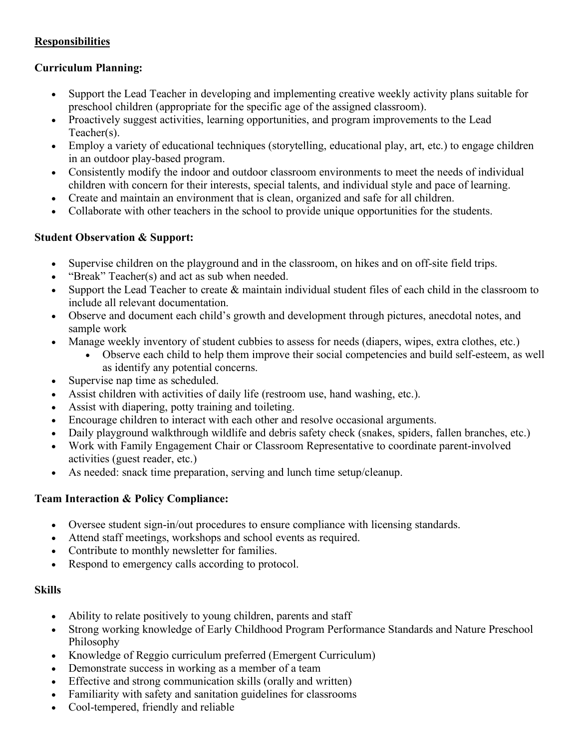# **Responsibilities**

### **Curriculum Planning:**

- Support the Lead Teacher in developing and implementing creative weekly activity plans suitable for preschool children (appropriate for the specific age of the assigned classroom).
- Proactively suggest activities, learning opportunities, and program improvements to the Lead Teacher(s).
- Employ a variety of educational techniques (storytelling, educational play, art, etc.) to engage children in an outdoor play-based program.
- Consistently modify the indoor and outdoor classroom environments to meet the needs of individual children with concern for their interests, special talents, and individual style and pace of learning.
- Create and maintain an environment that is clean, organized and safe for all children.
- Collaborate with other teachers in the school to provide unique opportunities for the students.

### **Student Observation & Support:**

- Supervise children on the playground and in the classroom, on hikes and on off-site field trips.
- "Break" Teacher(s) and act as sub when needed.
- Support the Lead Teacher to create  $\&$  maintain individual student files of each child in the classroom to include all relevant documentation.
- Observe and document each child's growth and development through pictures, anecdotal notes, and sample work
- Manage weekly inventory of student cubbies to assess for needs (diapers, wipes, extra clothes, etc.)
	- Observe each child to help them improve their social competencies and build self-esteem, as well as identify any potential concerns.
- Supervise nap time as scheduled.
- Assist children with activities of daily life (restroom use, hand washing, etc.).
- Assist with diapering, potty training and toileting.
- Encourage children to interact with each other and resolve occasional arguments.
- Daily playground walkthrough wildlife and debris safety check (snakes, spiders, fallen branches, etc.)
- Work with Family Engagement Chair or Classroom Representative to coordinate parent-involved activities (guest reader, etc.)
- As needed: snack time preparation, serving and lunch time setup/cleanup.

### **Team Interaction & Policy Compliance:**

- Oversee student sign-in/out procedures to ensure compliance with licensing standards.
- Attend staff meetings, workshops and school events as required.
- Contribute to monthly newsletter for families.
- Respond to emergency calls according to protocol.

### **Skills**

- Ability to relate positively to young children, parents and staff
- Strong working knowledge of Early Childhood Program Performance Standards and Nature Preschool Philosophy
- Knowledge of Reggio curriculum preferred (Emergent Curriculum)
- Demonstrate success in working as a member of a team
- Effective and strong communication skills (orally and written)
- Familiarity with safety and sanitation guidelines for classrooms
- Cool-tempered, friendly and reliable